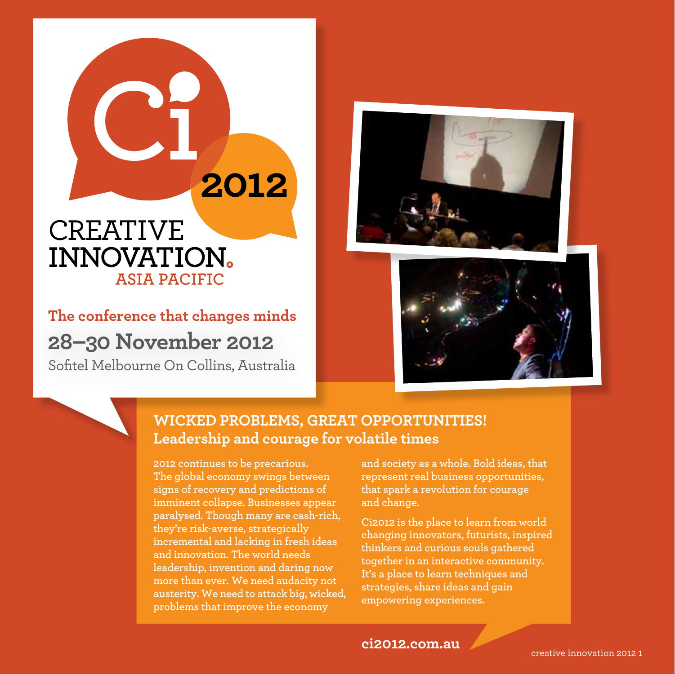## **CREATIVE INNOVATION. ASIA PACIFIC**

**The conference that changes minds 28–30 November 2012** Sofitel Melbourne On Collins, Australia





## **WICKED PROBLEMS, GREAT OPPORTUNITIES! Leadership and courage for volatile times**

**2012 continues to be precarious. The global economy swings between signs of recovery and predictions of imminent collapse. Businesses appear paralysed. Though many are cash-rich, they're risk-averse, strategically incremental and lacking in fresh ideas and innovation. The world needs leadership, invention and daring now more than ever. We need audacity not austerity. We need to attack big, wicked, problems that improve the economy** 

2012

**and society as a whole. Bold ideas, that represent real business opportunities, that spark a revolution for courage and change.**

**Ci2012 is the place to learn from world changing innovators, futurists, inspired thinkers and curious souls gathered together in an interactive community. It's a place to learn techniques and strategies, share ideas and gain empowering experiences.** 

**ci2012.com.au**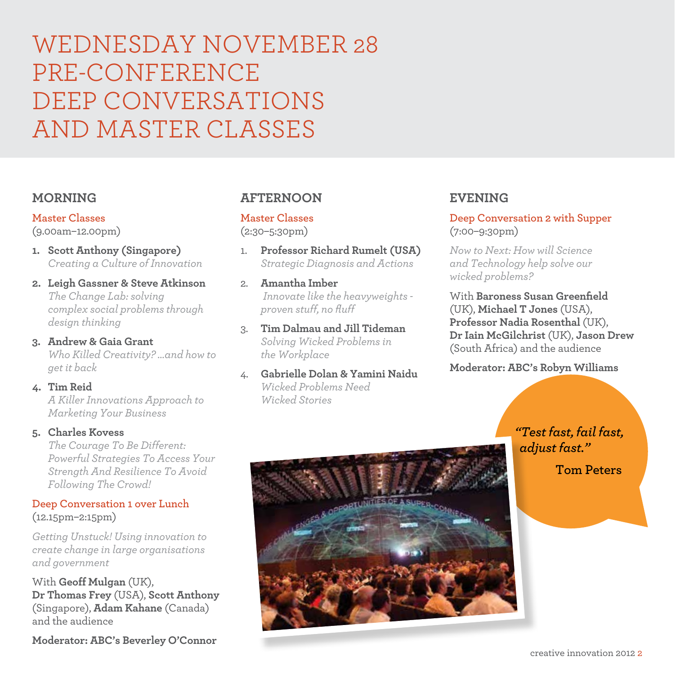## WEDNESDAY NOVEMBER 28 PRE-CONFERENCE DEEP CONVERSATIONS AND MASTER CLASSES

### **MORNING**

**Master Classes** 

(9.00am–12.00pm)

- **1. Scott Anthony (Singapore)** *Creating a Culture of Innovation*
- **2. Leigh Gassner & Steve Atkinson** *The Change Lab: solving complex social problems through design thinking*
- **3. Andrew & Gaia Grant** *Who Killed Creativity? …and how to get it back*
- **4. Tim Reid**  *A Killer Innovations Approach to Marketing Your Business*

#### **5. Charles Kovess**

*The Courage To Be Different: Powerful Strategies To Access Your Strength And Resilience To Avoid Following The Crowd!*

#### **Deep Conversation 1 over Lunch**  (12.15pm–2:15pm)

*Getting Unstuck! Using innovation to create change in large organisations and government*

With **Geoff Mulgan** (UK), **Dr Thomas Frey** (USA), **Scott Anthony** (Singapore), **Adam Kahane** (Canada) and the audience

### **AFTERNOON**

#### **Master Classes**  (2:30–5:30pm)

- 1. **Professor Richard Rumelt (USA)** *Strategic Diagnosis and Actions*
- 2. **Amantha Imber**  *Innovate like the heavyweights proven stuff, no fluff*
- 3. **Tim Dalmau and Jill Tideman** *Solving Wicked Problems in the Workplace*
- 4. **Gabrielle Dolan & Yamini Naidu** *Wicked Problems Need Wicked Stories*

### **EVENING**

**Deep Conversation 2 with Supper** (7:00–9:30pm)

*Now to Next: How will Science and Technology help solve our wicked problems?*

With **Baroness Susan Greenfield** (UK), **Michael T Jones** (USA), **Professor Nadia Rosenthal** (UK), **Dr Iain McGilchrist** (UK), **Jason Drew** (South Africa) and the audience

**Moderator: ABC's Robyn Williams**

*"Test fast, fail fast, adjust fast."* 

**Tom Peters**

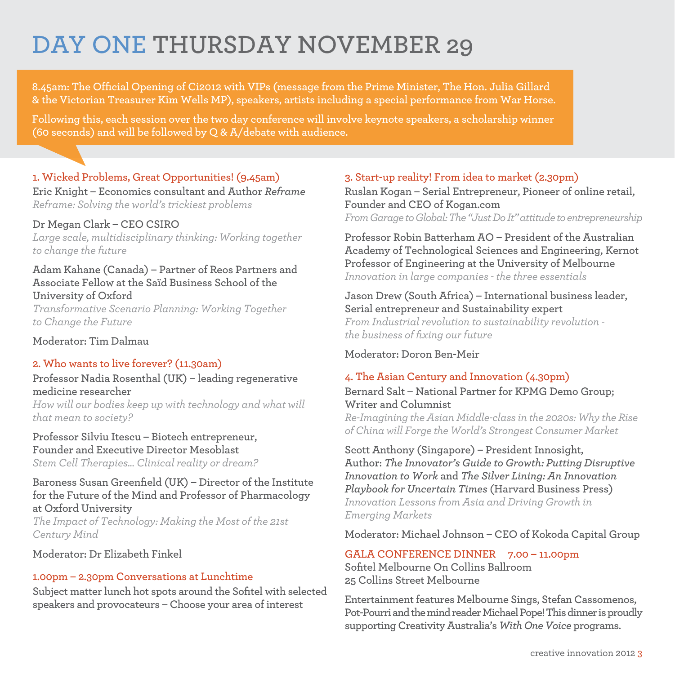# **DAY one thursday November 29**

**8.45am: The Official Opening of Ci2012 with VIPs (message from the Prime Minister, The Hon. Julia Gillard & the Victorian Treasurer Kim Wells MP), speakers, artists including a special performance from War Horse.**

**Following this, each session over the two day conference will involve keynote speakers, a scholarship winner (60 seconds) and will be followed by Q & A/debate with audience.**

#### **1. Wicked Problems, Great Opportunities! (9.45am)**

**Eric Knight – Economics consultant and Author** *Reframe Reframe: Solving the world's trickiest problems*

#### **Dr Megan Clark – CEO CSIRO**

*Large scale, multidisciplinary thinking: Working together to change the future*

#### **Adam Kahane (Canada) – Partner of Reos Partners and Associate Fellow at the Saïd Business School of the University of Oxford**

*Transformative Scenario Planning: Working Together to Change the Future*

**Moderator: Tim Dalmau**

#### **2. Who wants to live forever? (11.30am)**

**Professor Nadia Rosenthal (UK) – leading regenerative medicine researcher** *How will our bodies keep up with technology and what will that mean to society?*

**Professor Silviu Itescu – Biotech entrepreneur, Founder and Executive Director Mesoblast** *Stem Cell Therapies... Clinical reality or dream?*

**Baroness Susan Greenfield (UK) – Director of the Institute for the Future of the Mind and Professor of Pharmacology at Oxford University**

*The Impact of Technology: Making the Most of the 21st Century Mind*

**Moderator: Dr Elizabeth Finkel**

#### **1.00pm – 2.30pm Conversations at Lunchtime**

**Subject matter lunch hot spots around the Sofitel with selected speakers and provocateurs – Choose your area of interest**

#### **3. Start-up reality! From idea to market (2.30pm)**

**Ruslan Kogan – Serial Entrepreneur, Pioneer of online retail, Founder and CEO of Kogan.com** *From Garage to Global: The "Just Do It" attitude toentrepreneurship*

**Professor Robin Batterham AO – President of the Australian Academy of Technological Sciences and Engineering, Kernot Professor of Engineering at the University of Melbourne**  *Innovation in large companies - the three essentials*

**Jason Drew (South Africa) – International business leader, Serial entrepreneur and Sustainability expert** *From Industrial revolution to sustainability revolution the business of fixing our future*

**Moderator: Doron Ben-Meir**

#### **4. The Asian Century and Innovation (4.30pm)**

#### **Bernard Salt – National Partner for KPMG Demo Group; Writer and Columnist**

*Re-Imagining the Asian Middle-class in the 2020s: Why the Rise of China will Forge the World's Strongest Consumer Market*

**Scott Anthony (Singapore) – President Innosight, Author:** *The Innovator's Guide to Growth: Putting Disruptive Innovation to Work* **and** *The Silver Lining: An Innovation Playbook for Uncertain Times* **(Harvard Business Press)** *Innovation Lessons from Asia and Driving Growth in Emerging Markets* 

**Moderator: Michael Johnson – CEO of Kokoda Capital Group**

#### **GALA CONFERENCE DINNER 7.00 – 11.00pm**

**Sofitel Melbourne On Collins Ballroom 25 Collins Street Melbourne** 

**Entertainment features Melbourne Sings, Stefan Cassomenos, Pot-Pourri and the mind reader Michael Pope! This dinner is proudly supporting Creativity Australia's** *With One Voice* **programs.**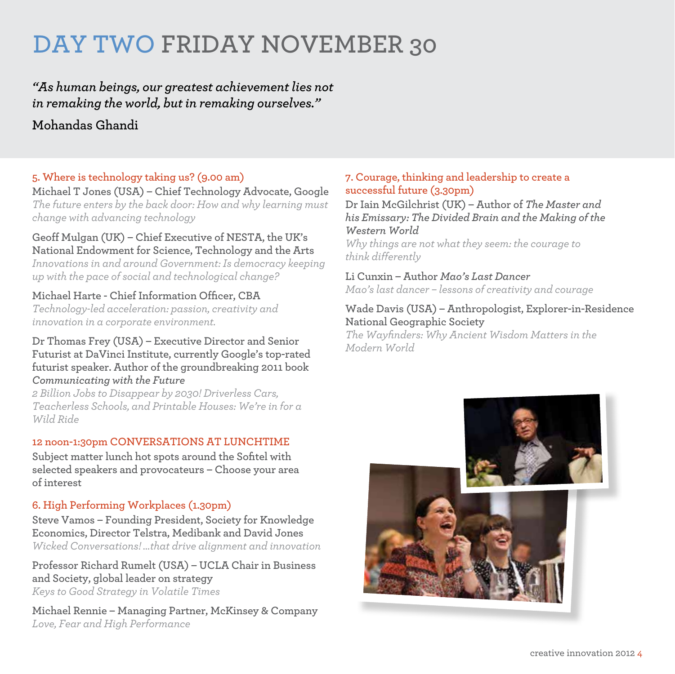## **DAY two Friday November 30**

## *"As human beings, our greatest achievement lies not in remaking the world, but in remaking ourselves."*  **Mohandas Ghandi**

#### **5. Where is technology taking us? (9.00 am)**

**Michael T Jones (USA) – Chief Technology Advocate, Google** *The future enters by the back door: How and why learning must change with advancing technology*

#### **Geoff Mulgan (UK) – Chief Executive of NESTA, the UK's National Endowment for Science, Technology and the Arts**

*Innovations in and around Government: Is democracy keeping up with the pace of social and technological change?*

#### **Michael Harte - Chief Information Officer, CBA**

*Technology-led acceleration: passion, creativity and innovation in a corporate environment.*

#### **Dr Thomas Frey (USA) – Executive Director and Senior Futurist at DaVinci Institute, currently Google's top-rated futurist speaker. Author of the groundbreaking 2011 book**  *Communicating with the Future*

*2 Billion Jobs to Disappear by 2030! Driverless Cars, Teacherless Schools, and Printable Houses: We're in for a Wild Ride*

#### **12 noon-1:30pm CONVERSATIONS AT LUNCHTIME**

**Subject matter lunch hot spots around the Sofitel with selected speakers and provocateurs – Choose your area of interest**

#### **6. High Performing Workplaces (1.30pm)**

**Steve Vamos – Founding President, Society for Knowledge Economics, Director Telstra, Medibank and David Jones** *Wicked Conversations! …that drive alignment and innovation*

**Professor Richard Rumelt (USA) – UCLA Chair in Business and Society, global leader on strategy** *Keys to Good Strategy in Volatile Times*

**Michael Rennie – Managing Partner, McKinsey & Company** *Love, Fear and High Performance*

#### **7. Courage, thinking and leadership to create a successful future (3.30pm)**

**Dr Iain McGilchrist (UK) – Author of** *The Master and his Emissary: The Divided Brain and the Making of the Western World*

*Why things are not what they seem: the courage to think differently*

**Li Cunxin – Author** *Mao's Last Dancer Mao's last dancer – lessons of creativity and courage*

#### **Wade Davis (USA) – Anthropologist, Explorer-in-Residence National Geographic Society**

*The Wayfinders: Why Ancient Wisdom Matters in the Modern World*